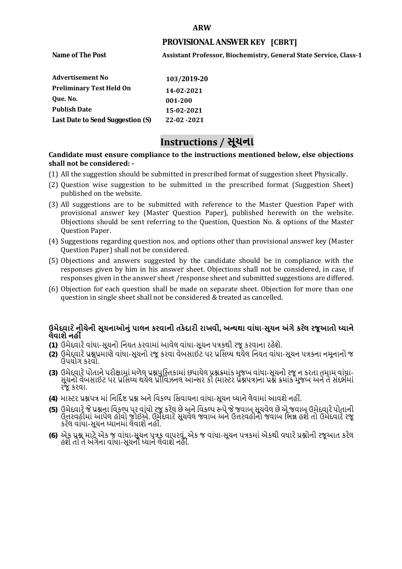#### **ARW**

## **PROVISIONAL ANSWER KEY [CBRT]**

**Name of The Post** 

**Assistant Professor, Biochemistry, General State Service, Class-1** 

| <b>Advertisement No</b>          | 103/2019-20 |
|----------------------------------|-------------|
| <b>Preliminary Test Held On</b>  | 14-02-2021  |
| Oue. No.                         | 001-200     |
| <b>Publish Date</b>              | 15-02-2021  |
| Last Date to Send Suggestion (S) | 22-02-2021  |

# **Instructions / સૂચના**

### **shall not be considered: - Candidate must ensure compliance to the instructions mentioned below, else objections**

- (1) All the suggestion should be submitted in prescribed format of suggestion sheet Physically.
- (2) Question wise suggestion to be submitted in the prescribed format (Suggestion Sheet) published on the website.
- (3) All suggestions are to be submitted with reference to the Master Question Paper with provisional answer key (Master Question Paper), published herewith on the website. Objections should be sent referring to the Question, Question No. & options of the Master Question Paper.
- (4) Suggestions regarding question nos. and options other than provisional answer key (Master Question Paper) shall not be considered.
- (5) Objections and answers suggested by the candidate should be in compliance with the responses given by him in his answer sheet. Objections shall not be considered, in case, if responses given in the answer sheet /response sheet and submitted suggestions are differed.
- (6) Objection for each question shall be made on separate sheet. Objection for more than one question in single sheet shall not be considered & treated as cancelled.

## **ઉમેદવાર ેનીચેની સૂચનાઓનું પાલન કરવાની તકેદારી રાખવી, અլયથા વાંધા-સૂચન અંગેકર ેલ રજૂઆતો իયાને લેવાશેનહી ં**

- **(1)** ઉમેદવારેવાંધા**-**સૂચનો િનયત કરવામાં આવેલ વાંધા-સૂચન પԋકથી રજૂ કરવાના રહેશે**.**
- **(2)** ઉમેદવારેԐՇԐમાણે વાંધા**-**સૂચનો રજૂકરવા વેબસાઈટ પર Ԑિસիધ થયેલ િનયત વાંધા-સૂચન પԋકના નમૂનાનો જ ઉપયોગ કરવો**.**
- **(3)** ઉમેદવારેપોતાનેપરીԟામાંમળેલ ԐՇપુિչતકામાંછપાયેલ ԐՇԃમાંક મુજબ વાંધા**-**સૂચનો રજૂન કરતા તમામ વાંધા**-** સૂચનો વેબસાઈટ પર પ્રસિધ્ધ થયેલ પ્રોવિઝનલ આન્સર કી (માસ્ટર પ્રૅશ્નપત્ર)ના પ્રશ્ને ક્રમાંક મુજબ અને તે સંદર્ભમાં રજૂકરવા**.**
- **(4)** માչટર ԐՇપԋ માંિનિદӪ Ջ ԐՇ અનેિવકճપ િસવાયના વાંધા**-**સૂચન իયાનેલેવામાંઆવશેનહીં**.**
- (5) ઉમેદવારે જે પ્રશ્નના વિકલ્પ પર વાંધો રજૂ કરેલ છે અને વિકલ્પ ર<del>ુ</del>પે જે જવાબ સૂચવેલ છે એ જવાબ ઉમેદવારે પોતાની ઉԱરવહીમાંઆપેલ હોવો જોઈએ**.** ઉમેદવારેસૂચવેલ જવાબ અનેઉԱરવહીનો જવાબ િભՂ હશેતો ઉમેદવારેરજૂ કરેલ વાંધા**-**સૂચન իયાનમાંલેવાશેનહીં**.**
- **(6)** એક ԐՇ માટેએક જ વાંધા**-**સૂચન પԋક વાપરવું**.** એક જ વાંધા**-**સૂચન પԋકમાંએકથી વધારેԐՇોની રજૂઆત કરેલ હશેતો તેઅંગેના વાંધા**-**સૂચનો իયાનેલેવાશેનહીં**.**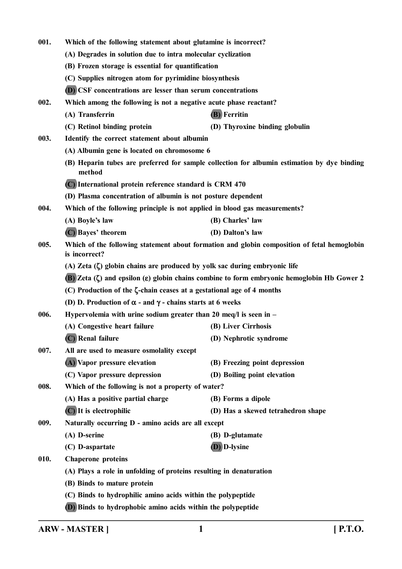| 001. | Which of the following statement about glutamine is incorrect?                                                        |                                                                                             |  |
|------|-----------------------------------------------------------------------------------------------------------------------|---------------------------------------------------------------------------------------------|--|
|      | (A) Degrades in solution due to intra molecular cyclization                                                           |                                                                                             |  |
|      | (B) Frozen storage is essential for quantification                                                                    |                                                                                             |  |
|      | (C) Supplies nitrogen atom for pyrimidine biosynthesis                                                                |                                                                                             |  |
|      | <b>(D)</b> CSF concentrations are lesser than serum concentrations                                                    |                                                                                             |  |
| 002. | Which among the following is not a negative acute phase reactant?                                                     |                                                                                             |  |
|      | (A) Transferrin                                                                                                       | (B) Ferritin                                                                                |  |
|      | (C) Retinol binding protein                                                                                           | (D) Thyroxine binding globulin                                                              |  |
| 003. | Identify the correct statement about albumin                                                                          |                                                                                             |  |
|      | (A) Albumin gene is located on chromosome 6                                                                           |                                                                                             |  |
|      | method                                                                                                                | (B) Heparin tubes are preferred for sample collection for albumin estimation by dye binding |  |
|      | (C) International protein reference standard is CRM 470                                                               |                                                                                             |  |
|      | (D) Plasma concentration of albumin is not posture dependent                                                          |                                                                                             |  |
| 004. | Which of the following principle is not applied in blood gas measurements?                                            |                                                                                             |  |
|      | (A) Boyle's law                                                                                                       | (B) Charles' law                                                                            |  |
|      | (C) Bayes' theorem                                                                                                    | (D) Dalton's law                                                                            |  |
| 005. | Which of the following statement about formation and globin composition of fetal hemoglobin<br>is incorrect?          |                                                                                             |  |
|      | (A) Zeta $(\zeta)$ globin chains are produced by yolk sac during embryonic life                                       |                                                                                             |  |
|      | <b>(B)</b> Zeta $(\zeta)$ and epsilon ( $\varepsilon$ ) globin chains combine to form embryonic hemoglobin Hb Gower 2 |                                                                                             |  |
|      | (C) Production of the $\zeta$ -chain ceases at a gestational age of 4 months                                          |                                                                                             |  |
|      | (D) D. Production of $\alpha$ - and $\gamma$ - chains starts at 6 weeks                                               |                                                                                             |  |
| 006. |                                                                                                                       | Hypervolemia with urine sodium greater than 20 meq/l is seen in $-$                         |  |
|      | (A) Congestive heart failure                                                                                          | (B) Liver Cirrhosis                                                                         |  |
|      | (C) Renal failure                                                                                                     | (D) Nephrotic syndrome                                                                      |  |
| 007. | All are used to measure osmolality except                                                                             |                                                                                             |  |
|      | (A) Vapor pressure elevation                                                                                          | (B) Freezing point depression                                                               |  |
|      | (C) Vapor pressure depression                                                                                         | (D) Boiling point elevation                                                                 |  |
| 008. | Which of the following is not a property of water?                                                                    |                                                                                             |  |
|      | (A) Has a positive partial charge                                                                                     | (B) Forms a dipole                                                                          |  |
|      | $(C)$ It is electrophilic                                                                                             | (D) Has a skewed tetrahedron shape                                                          |  |
| 009. | Naturally occurring D - amino acids are all except                                                                    |                                                                                             |  |
|      | (A) D-serine                                                                                                          | (B) D-glutamate                                                                             |  |
|      | (C) D-aspartate                                                                                                       | (D) D-lysine                                                                                |  |
| 010. | <b>Chaperone proteins</b>                                                                                             |                                                                                             |  |
|      | (A) Plays a role in unfolding of proteins resulting in denaturation                                                   |                                                                                             |  |
|      | (B) Binds to mature protein                                                                                           |                                                                                             |  |
|      | (C) Binds to hydrophilic amino acids within the polypeptide                                                           |                                                                                             |  |
|      | (D) Binds to hydrophobic amino acids within the polypeptide                                                           |                                                                                             |  |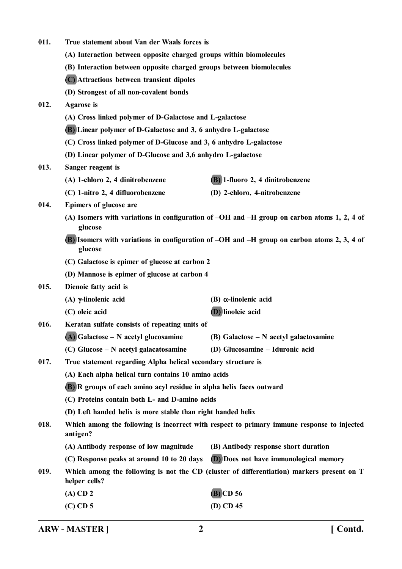- **011. True statement about Van der Waals forces is**
	- **(A) Interaction between opposite charged groups within biomolecules**
	- **(B) Interaction between opposite charged groups between biomolecules**
	- **(C) Attractions between transient dipoles**
	- **(D) Strongest of all non-covalent bonds**

## **012. Agarose is**

- **(A) Cross linked polymer of D-Galactose and L-galactose**
- **(B) Linear polymer of D-Galactose and 3, 6 anhydro L-galactose**
- **(C) Cross linked polymer of D-Glucose and 3, 6 anhydro L-galactose**
- **(D) Linear polymer of D-Glucose and 3,6 anhydro L-galactose**

#### **013. Sanger reagent is**

- **(A) 1-chloro 2, 4 dinitrobenzene (B) 1-fluoro 2, 4 dinitrobenzene**
- **(C) 1-nitro 2, 4 difluorobenzene (D) 2-chloro, 4-nitrobenzene**
- 

- **014. Epimers of glucose are**
	- **(A) Isomers with variations in configuration of –OH and –H group on carbon atoms 1, 2, 4 of glucose**
	- **(B) Isomers with variations in configuration of –OH and –H group on carbon atoms 2, 3, 4 of glucose**
	- **(C) Galactose is epimer of glucose at carbon 2**
	- **(D) Mannose is epimer of glucose at carbon 4**
- **015. Dienoic fatty acid is**
	- **(A) -linolenic acid (B) -linolenic acid**
	- **(C) oleic acid (D) linoleic acid**

**016. Keratan sulfate consists of repeating units of**

- **(A) Galactose N acetyl glucosamine (B) Galactose N acetyl galactosamine**
- **(C) Glucose N acetyl galacatosamine (D) Glucosamine Iduronic acid**
- **017. True statement regarding Alpha helical secondary structure is**
	- **(A) Each alpha helical turn contains 10 amino acids**
	- **(B) R groups of each amino acyl residue in alpha helix faces outward**
	- **(C) Proteins contain both L- and D-amino acids**
	- **(D) Left handed helix is more stable than right handed helix**
- **018. Which among the following is incorrect with respect to primary immune response to injected antigen?**
	- **(A) Antibody response of low magnitude (B) Antibody response short duration**
	- **(C) Response peaks at around 10 to 20 days (D) Does not have immunological memory**
- **019. Which among the following is not the CD (cluster of differentiation) markers present on T helper cells?**

| $(A)$ CD 2 | $(B)$ CD 56 |
|------------|-------------|
| $(C)$ CD 5 | $(D)$ CD 45 |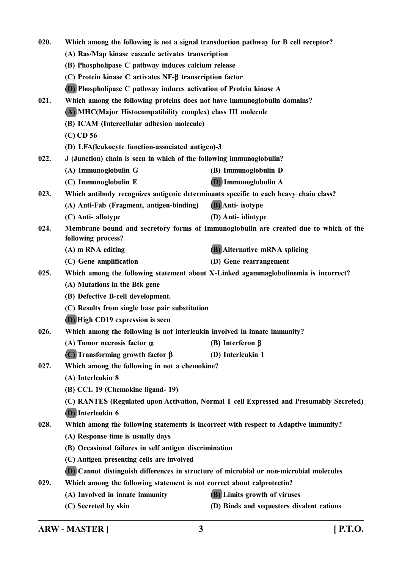| 020.                                                                              | Which among the following is not a signal transduction pathway for B cell receptor?     |                                                                                      |  |
|-----------------------------------------------------------------------------------|-----------------------------------------------------------------------------------------|--------------------------------------------------------------------------------------|--|
|                                                                                   | (A) Ras/Map kinase cascade activates transcription                                      |                                                                                      |  |
|                                                                                   | (B) Phospholipase C pathway induces calcium release                                     |                                                                                      |  |
|                                                                                   | (C) Protein kinase C activates $NF-\beta$ transcription factor                          |                                                                                      |  |
|                                                                                   | <b>(D)</b> Phospholipase C pathway induces activation of Protein kinase A               |                                                                                      |  |
| 021.                                                                              | Which among the following proteins does not have immunoglobulin domains?                |                                                                                      |  |
|                                                                                   | (A) MHC(Major Histocompatibility complex) class III molecule                            |                                                                                      |  |
|                                                                                   | (B) ICAM (Intercellular adhesion molecule)                                              |                                                                                      |  |
|                                                                                   | $(C)$ CD 56                                                                             |                                                                                      |  |
|                                                                                   | (D) LFA(leukocyte function-associated antigen)-3                                        |                                                                                      |  |
| 022.<br>J (Junction) chain is seen in which of the following immunoglobulin?      |                                                                                         |                                                                                      |  |
|                                                                                   | (A) Immunoglobulin G                                                                    | (B) Immunoglobulin D                                                                 |  |
|                                                                                   | (C) Immunoglobulin E                                                                    | <b>(D)</b> Immunoglobulin A                                                          |  |
| 023.                                                                              | Which antibody recognizes antigenic determinants specific to each heavy chain class?    |                                                                                      |  |
|                                                                                   | (A) Anti-Fab (Fragment, antigen-binding)                                                | (B) Anti-isotype                                                                     |  |
|                                                                                   | (C) Anti-allotype                                                                       | (D) Anti-idiotype                                                                    |  |
| 024.                                                                              | following process?                                                                      | Membrane bound and secretory forms of Immunoglobulin are created due to which of the |  |
|                                                                                   | (A) m RNA editing                                                                       | <b>(B)</b> Alternative mRNA splicing                                                 |  |
|                                                                                   | (C) Gene amplification                                                                  | (D) Gene rearrangement                                                               |  |
| 025.                                                                              |                                                                                         | Which among the following statement about X-Linked agammaglobulinemia is incorrect?  |  |
|                                                                                   | (A) Mutations in the Btk gene                                                           |                                                                                      |  |
|                                                                                   | (B) Defective B-cell development.                                                       |                                                                                      |  |
|                                                                                   | (C) Results from single base pair substitution                                          |                                                                                      |  |
|                                                                                   | (D) High CD19 expression is seen                                                        |                                                                                      |  |
| 026.<br>Which among the following is not interleukin involved in innate immunity? |                                                                                         |                                                                                      |  |
|                                                                                   | (A) Tumor necrosis factor $\alpha$                                                      | (B) Interferon $\beta$                                                               |  |
|                                                                                   | (C) Transforming growth factor $\beta$                                                  | (D) Interleukin 1                                                                    |  |
| 027.                                                                              | Which among the following in not a chemokine?                                           |                                                                                      |  |
|                                                                                   | (A) Interleukin 8                                                                       |                                                                                      |  |
|                                                                                   | (B) CCL 19 (Chemokine ligand-19)                                                        |                                                                                      |  |
|                                                                                   | (C) RANTES (Regulated upon Activation, Normal T cell Expressed and Presumably Secreted) |                                                                                      |  |
|                                                                                   | (D) Interleukin 6                                                                       |                                                                                      |  |
| 028.                                                                              |                                                                                         | Which among the following statements is incorrect with respect to Adaptive immunity? |  |
|                                                                                   | (A) Response time is usually days                                                       |                                                                                      |  |
|                                                                                   | (B) Occasional failures in self antigen discrimination                                  |                                                                                      |  |
|                                                                                   | (C) Antigen presenting cells are involved                                               |                                                                                      |  |
|                                                                                   | (D) Cannot distinguish differences in structure of microbial or non-microbial molecules |                                                                                      |  |
| 029.                                                                              | Which among the following statement is not correct about calprotectin?                  |                                                                                      |  |
|                                                                                   | (A) Involved in innate immunity                                                         | <b>(B)</b> Limits growth of viruses                                                  |  |
|                                                                                   | (C) Secreted by skin                                                                    | (D) Binds and sequesters divalent cations                                            |  |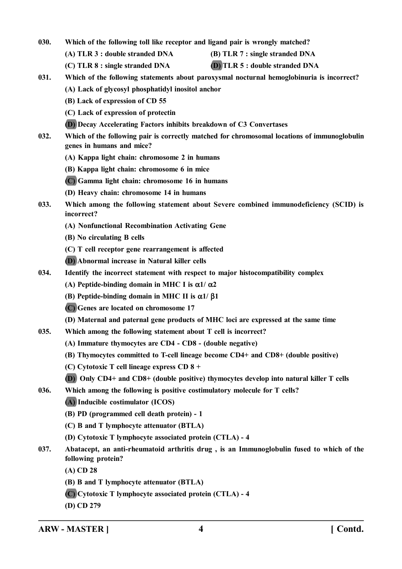- **030. Which of the following toll like receptor and ligand pair is wrongly matched?**
	- **(A) TLR 3 : double stranded DNA (B) TLR 7 : single stranded DNA**
	- **(C) TLR 8 : single stranded DNA (D) TLR 5 : double stranded DNA**
- **031. Which of the following statements about paroxysmal nocturnal hemoglobinuria is incorrect? (A) Lack of glycosyl phosphatidyl inositol anchor**
	- **(B) Lack of expression of CD 55**
	- **(C) Lack of expression of protectin**
	- **(D) Decay Accelerating Factors inhibits breakdown of C3 Convertases**
- **032. Which of the following pair is correctly matched for chromosomal locations of immunoglobulin genes in humans and mice?**
	- **(A) Kappa light chain: chromosome 2 in humans**
	- **(B) Kappa light chain: chromosome 6 in mice**
	- **(C) Gamma light chain: chromosome 16 in humans**
	- **(D) Heavy chain: chromosome 14 in humans**
- **033. Which among the following statement about Severe combined immunodeficiency (SCID) is incorrect?**
	- **(A) Nonfunctional Recombination Activating Gene**
	- **(B) No circulating B cells**
	- **(C) T cell receptor gene rearrangement is affected**
	- **(D) Abnormal increase in Natural killer cells**
- **034. Identify the incorrect statement with respect to major histocompatibility complex**
	- **(A) Peptide-binding domain in MHC I is**  $\alpha$ **1/**  $\alpha$ **2**
	- **(B)** Peptide-binding domain in MHC II is  $\alpha$ 1/  $\beta$ 1
	- **(C) Genes are located on chromosome 17**
	- **(D) Maternal and paternal gene products of MHC loci are expressed at the same time**
- **035. Which among the following statement about T cell is incorrect?**
	- **(A) Immature thymocytes are CD4 CD8 (double negative)**
	- **(B) Thymocytes committed to T-cell lineage become CD4+ and CD8+ (double positive)**
	- **(C) Cytotoxic T cell lineage express CD 8 +**
	- **(D) Only CD4+ and CD8+ (double positive) thymocytes develop into natural killer T cells**
- **036. Which among the following is positive costimulatory molecule for T cells?**
	- **(A) Inducible costimulator (ICOS)**
	- **(B) PD (programmed cell death protein) 1**
	- **(C) B and T lymphocyte attenuator (BTLA)**
	- **(D) Cytotoxic T lymphocyte associated protein (CTLA) 4**
- **037. Abatacept, an anti-rheumatoid arthritis drug , is an Immunoglobulin fused to which of the following protein?**
	- **(A) CD 28**
	- **(B) B and T lymphocyte attenuator (BTLA)**
	- **(C) Cytotoxic T lymphocyte associated protein (CTLA) 4**
	- **(D) CD 279**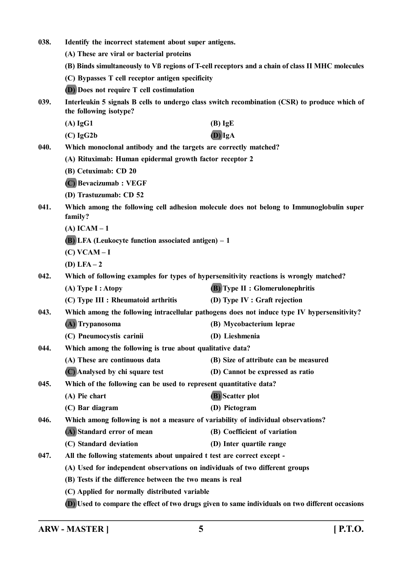| 038.                                                                                                                            | Identify the incorrect statement about super antigens.                                  |                                                                                                  |
|---------------------------------------------------------------------------------------------------------------------------------|-----------------------------------------------------------------------------------------|--------------------------------------------------------------------------------------------------|
|                                                                                                                                 | (A) These are viral or bacterial proteins                                               |                                                                                                  |
|                                                                                                                                 |                                                                                         | (B) Binds simultaneously to Vß regions of T-cell receptors and a chain of class II MHC molecules |
|                                                                                                                                 | (C) Bypasses T cell receptor antigen specificity                                        |                                                                                                  |
|                                                                                                                                 | (D) Does not require T cell costimulation                                               |                                                                                                  |
| Interleukin 5 signals B cells to undergo class switch recombination (CSR) to produce which of<br>039.<br>the following isotype? |                                                                                         |                                                                                                  |
|                                                                                                                                 | $(A)$ IgG1                                                                              | $(B)$ IgE                                                                                        |
|                                                                                                                                 | $(C)$ IgG2b                                                                             | $(D)$ IgA                                                                                        |
| 040.                                                                                                                            | Which monoclonal antibody and the targets are correctly matched?                        |                                                                                                  |
|                                                                                                                                 | (A) Rituximab: Human epidermal growth factor receptor 2                                 |                                                                                                  |
|                                                                                                                                 | (B) Cetuximab: CD 20                                                                    |                                                                                                  |
|                                                                                                                                 | (C) Bevacizumab: VEGF                                                                   |                                                                                                  |
|                                                                                                                                 | (D) Trastuzumab: CD 52                                                                  |                                                                                                  |
| 041.                                                                                                                            | family?                                                                                 | Which among the following cell adhesion molecule does not belong to Immunoglobulin super         |
|                                                                                                                                 | $(A)$ ICAM $-1$                                                                         |                                                                                                  |
|                                                                                                                                 | <b>(B)</b> LFA (Leukocyte function associated antigen) – 1                              |                                                                                                  |
|                                                                                                                                 | $(C) VCAM-I$                                                                            |                                                                                                  |
|                                                                                                                                 | $(D) LFA - 2$                                                                           |                                                                                                  |
| 042.                                                                                                                            | Which of following examples for types of hypersensitivity reactions is wrongly matched? |                                                                                                  |
|                                                                                                                                 | (A) Type I : Atopy                                                                      | <b>(B)</b> Type II : Glomerulonephritis                                                          |
|                                                                                                                                 | (C) Type III : Rheumatoid arthritis                                                     | (D) Type IV : Graft rejection                                                                    |
| 043.                                                                                                                            |                                                                                         | Which among the following intracellular pathogens does not induce type IV hypersensitivity?      |
|                                                                                                                                 | (A) Trypanosoma                                                                         | (B) Mycobacterium leprae                                                                         |
|                                                                                                                                 | (C) Pneumocystis carinii                                                                | (D) Lieshmenia                                                                                   |
| 044.                                                                                                                            | Which among the following is true about qualitative data?                               |                                                                                                  |
|                                                                                                                                 | (A) These are continuous data                                                           | (B) Size of attribute can be measured                                                            |
|                                                                                                                                 | (C) Analysed by chi square test                                                         | (D) Cannot be expressed as ratio                                                                 |
| 045.                                                                                                                            | Which of the following can be used to represent quantitative data?                      |                                                                                                  |
|                                                                                                                                 | (A) Pie chart                                                                           | (B) Scatter plot                                                                                 |
|                                                                                                                                 | (C) Bar diagram                                                                         | (D) Pictogram                                                                                    |
| 046.                                                                                                                            | Which among following is not a measure of variability of individual observations?       |                                                                                                  |
|                                                                                                                                 | (A) Standard error of mean                                                              | (B) Coefficient of variation                                                                     |
|                                                                                                                                 | (C) Standard deviation                                                                  | (D) Inter quartile range                                                                         |
| 047.                                                                                                                            | All the following statements about unpaired t test are correct except -                 |                                                                                                  |
|                                                                                                                                 | (A) Used for independent observations on individuals of two different groups            |                                                                                                  |
|                                                                                                                                 | (B) Tests if the difference between the two means is real                               |                                                                                                  |
|                                                                                                                                 | (C) Applied for normally distributed variable                                           |                                                                                                  |
|                                                                                                                                 |                                                                                         | (D) Used to compare the effect of two drugs given to same individuals on two different occasions |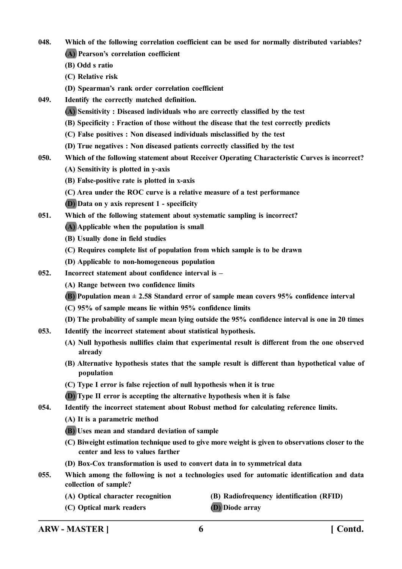- **048. Which of the following correlation coefficient can be used for normally distributed variables? (A) Pearson's correlation coefficient**
	- **(B) Odd s ratio**
	- **(C) Relative risk**
	- **(D) Spearman's rank order correlation coefficient**
- **049. Identify the correctly matched definition.**
	- **(A) Sensitivity : Diseased individuals who are correctly classified by the test**
	- **(B) Specificity : Fraction of those without the disease that the test correctly predicts**
	- **(C) False positives : Non diseased individuals misclassified by the test**
	- **(D) True negatives : Non diseased patients correctly classified by the test**
- **050. Which of the following statement about Receiver Operating Characteristic Curves is incorrect?**
	- **(A) Sensitivity is plotted in y-axis**
	- **(B) False-positive rate is plotted in x-axis**
	- **(C) Area under the ROC curve is a relative measure of a test performance**
	- **(D) Data on y axis represent 1 specificity**
- **051. Which of the following statement about systematic sampling is incorrect?**
	- **(A) Applicable when the population is small**
	- **(B) Usually done in field studies**
	- **(C) Requires complete list of population from which sample is to be drawn**
	- **(D) Applicable to non-homogeneous population**
- **052. Incorrect statement about confidence interval is –**
	- **(A) Range between two confidence limits**
	- **(B) Population mean ± 2.58 Standard error of sample mean covers 95% confidence interval**
	- **(C) 95% of sample means lie within 95% confidence limits**
	- **(D) The probability of sample mean lying outside the 95% confidence interval is one in 20 times**
- **053. Identify the incorrect statement about statistical hypothesis.**
	- **(A) Null hypothesis nullifies claim that experimental result is different from the one observed already**
	- **(B) Alternative hypothesis states that the sample result is different than hypothetical value of population**
	- **(C) Type I error is false rejection of null hypothesis when it is true**
	- **(D) Type II error is accepting the alternative hypothesis when it is false**
- **054. Identify the incorrect statement about Robust method for calculating reference limits.**
	- **(A) It is a parametric method**
	- **(B) Uses mean and standard deviation of sample**
	- **(C) Biweight estimation technique used to give more weight is given to observations closer to the center and less to values farther**
	- **(D) Box-Cox transformation is used to convert data in to symmetrical data**
- **055. Which among the following is not a technologies used for automatic identification and data collection of sample?**
	-
	- **(A) Optical character recognition (B) Radiofrequency identification (RFID)**
	- **(C) Optical mark readers (D) Diode array**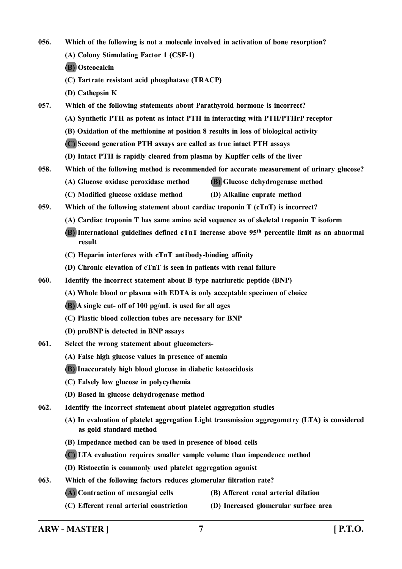**056. Which of the following is not a molecule involved in activation of bone resorption? (A) Colony Stimulating Factor 1 (CSF-1) (B) Osteocalcin (C) Tartrate resistant acid phosphatase (TRACP)**

**(D) Cathepsin K**

**057. Which of the following statements about Parathyroid hormone is incorrect?**

**(A) Synthetic PTH as potent as intact PTH in interacting with PTH/PTHrP receptor**

**(B) Oxidation of the methionine at position 8 results in loss of biological activity**

**(C) Second generation PTH assays are called as true intact PTH assays**

**(D) Intact PTH is rapidly cleared from plasma by Kupffer cells of the liver**

**058. Which of the following method is recommended for accurate measurement of urinary glucose?**

**(A) Glucose oxidase peroxidase method (B) Glucose dehydrogenase method**

**(C) Modified glucose oxidase method (D) Alkaline cuprate method**

**059. Which of the following statement about cardiac troponin T (cTnT) is incorrect?**

**(A) Cardiac troponin T has same amino acid sequence as of skeletal troponin T isoform**

**(B) International guidelines defined cTnT increase above 95th percentile limit as an abnormal result**

- **(C) Heparin interferes with cTnT antibody-binding affinity**
- **(D) Chronic elevation of cTnT is seen in patients with renal failure**
- **060. Identify the incorrect statement about B type natriuretic peptide (BNP)**
	- **(A) Whole blood or plasma with EDTA is only acceptable specimen of choice**
	- **(B) A single cut- off of 100 pg/mL is used for all ages**
	- **(C) Plastic blood collection tubes are necessary for BNP**
	- **(D) proBNP is detected in BNP assays**
- **061. Select the wrong statement about glucometers-**
	- **(A) False high glucose values in presence of anemia**
	- **(B) Inaccurately high blood glucose in diabetic ketoacidosis**
	- **(C) Falsely low glucose in polycythemia**
	- **(D) Based in glucose dehydrogenase method**
- **062. Identify the incorrect statement about platelet aggregation studies**
	- **(A) In evaluation of platelet aggregation Light transmission aggregometry (LTA) is considered as gold standard method**
	- **(B) Impedance method can be used in presence of blood cells**
	- **(C) LTA evaluation requires smaller sample volume than impendence method**
	- **(D) Ristocetin is commonly used platelet aggregation agonist**
- **063. Which of the following factors reduces glomerular filtration rate?**
	- **(A) Contraction of mesangial cells (B) Afferent renal arterial dilation**
		-
	- **(C) Efferent renal arterial constriction (D) Increased glomerular surface area**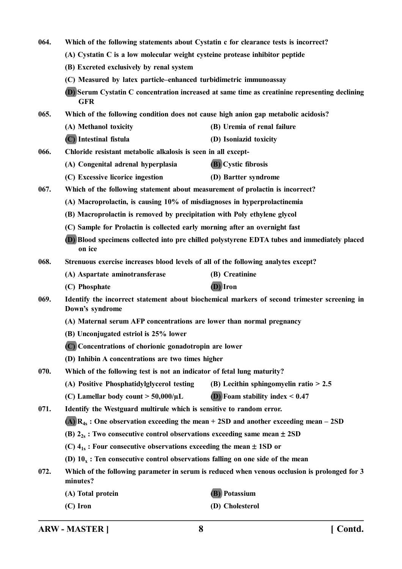| 064. | Which of the following statements about Cystatin c for clearance tests is incorrect?                                                                                                                                                                                                       |                                                                                                |  |  |
|------|--------------------------------------------------------------------------------------------------------------------------------------------------------------------------------------------------------------------------------------------------------------------------------------------|------------------------------------------------------------------------------------------------|--|--|
|      | (A) Cystatin C is a low molecular weight cysteine protease inhibitor peptide                                                                                                                                                                                                               |                                                                                                |  |  |
|      | (B) Excreted exclusively by renal system                                                                                                                                                                                                                                                   |                                                                                                |  |  |
|      | (C) Measured by latex particle–enhanced turbidimetric immunoassay                                                                                                                                                                                                                          |                                                                                                |  |  |
|      | <b>GFR</b>                                                                                                                                                                                                                                                                                 | (D) Serum Cystatin C concentration increased at same time as creatinine representing declining |  |  |
| 065. |                                                                                                                                                                                                                                                                                            | Which of the following condition does not cause high anion gap metabolic acidosis?             |  |  |
|      | (A) Methanol toxicity                                                                                                                                                                                                                                                                      | (B) Uremia of renal failure                                                                    |  |  |
|      | (C) Intestinal fistula                                                                                                                                                                                                                                                                     | (D) Isoniazid toxicity                                                                         |  |  |
| 066. | Chloride resistant metabolic alkalosis is seen in all except-                                                                                                                                                                                                                              |                                                                                                |  |  |
|      | (A) Congenital adrenal hyperplasia                                                                                                                                                                                                                                                         | <b>(B)</b> Cystic fibrosis                                                                     |  |  |
|      | (C) Excessive licorice ingestion                                                                                                                                                                                                                                                           | (D) Bartter syndrome                                                                           |  |  |
| 067. | Which of the following statement about measurement of prolactin is incorrect?                                                                                                                                                                                                              |                                                                                                |  |  |
|      | (A) Macroprolactin, is causing 10% of misdiagnoses in hyperprolactinemia                                                                                                                                                                                                                   |                                                                                                |  |  |
|      | (B) Macroprolactin is removed by precipitation with Poly ethylene glycol                                                                                                                                                                                                                   |                                                                                                |  |  |
|      | (C) Sample for Prolactin is collected early morning after an overnight fast                                                                                                                                                                                                                |                                                                                                |  |  |
|      | on ice                                                                                                                                                                                                                                                                                     | (D) Blood specimens collected into pre chilled polystyrene EDTA tubes and immediately placed   |  |  |
| 068. | Strenuous exercise increases blood levels of all of the following analytes except?                                                                                                                                                                                                         |                                                                                                |  |  |
|      | (A) Aspartate aminotransferase                                                                                                                                                                                                                                                             | (B) Creatinine                                                                                 |  |  |
|      | (C) Phosphate                                                                                                                                                                                                                                                                              | (D) Iron                                                                                       |  |  |
| 069. | Identify the incorrect statement about biochemical markers of second trimester screening in<br>Down's syndrome<br>(A) Maternal serum AFP concentrations are lower than normal pregnancy<br>(B) Unconjugated estriol is 25% lower<br>(C) Concentrations of chorionic gonadotropin are lower |                                                                                                |  |  |
|      |                                                                                                                                                                                                                                                                                            |                                                                                                |  |  |
|      |                                                                                                                                                                                                                                                                                            |                                                                                                |  |  |
|      |                                                                                                                                                                                                                                                                                            |                                                                                                |  |  |
|      | (D) Inhibin A concentrations are two times higher                                                                                                                                                                                                                                          |                                                                                                |  |  |
| 070. | Which of the following test is not an indicator of fetal lung maturity?                                                                                                                                                                                                                    |                                                                                                |  |  |
|      | (A) Positive Phosphatidylglycerol testing                                                                                                                                                                                                                                                  | (B) Lecithin sphingomyelin ratio $> 2.5$                                                       |  |  |
|      | (C) Lamellar body count $>$ 50,000/ $\mu$ L                                                                                                                                                                                                                                                | $(D)$ Foam stability index $< 0.47$                                                            |  |  |
| 071. | Identify the Westguard multirule which is sensitive to random error.                                                                                                                                                                                                                       |                                                                                                |  |  |
|      | (A) $R_{4s}$ : One observation exceeding the mean + 2SD and another exceeding mean - 2SD                                                                                                                                                                                                   |                                                                                                |  |  |
|      |                                                                                                                                                                                                                                                                                            |                                                                                                |  |  |
|      | (B) $2_{2s}$ : Two consecutive control observations exceeding same mean $\pm$ 2SD                                                                                                                                                                                                          |                                                                                                |  |  |
|      | (C) $4_{1s}$ : Four consecutive observations exceeding the mean $\pm$ 1SD or                                                                                                                                                                                                               |                                                                                                |  |  |
|      | (D) $10_x$ : Ten consecutive control observations falling on one side of the mean                                                                                                                                                                                                          |                                                                                                |  |  |
| 072. | minutes?                                                                                                                                                                                                                                                                                   | Which of the following parameter in serum is reduced when venous occlusion is prolonged for 3  |  |  |
|      | (A) Total protein                                                                                                                                                                                                                                                                          | <b>(B)</b> Potassium                                                                           |  |  |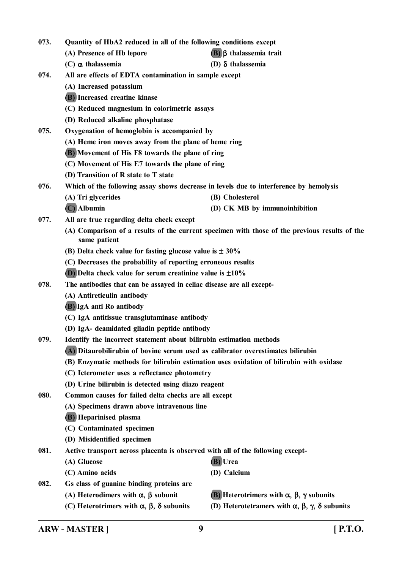- **073. Quantity of HbA2 reduced in all of the following conditions except**
	- **(A) Presence of Hb lepore (B) thalassemia trait**
		-
	- **(C) thalassemia (D) thalassemia**
- **074. All are effects of EDTA contamination in sample except**
	- **(A) Increased potassium**
	- **(B) Increased creatine kinase**
	- **(C) Reduced magnesium in colorimetric assays**
	- **(D) Reduced alkaline phosphatase**
- **075. Oxygenation of hemoglobin is accompanied by**
	- **(A) Heme iron moves away from the plane of heme ring**
	- **(B) Movement of His F8 towards the plane of ring**
	- **(C) Movement of His E7 towards the plane of ring**
	- **(D) Transition of R state to T state**
- **076. Which of the following assay shows decrease in levels due to interference by hemolysis**
	- **(A) Tri glycerides (B) Cholesterol**
		- **(C) Albumin (D) CK MB by immunoinhibition**
- **077. All are true regarding delta check except**
	- **(A) Comparison of a results of the current specimen with those of the previous results of the same patient**
	- **(B)** Delta check value for fasting glucose value is  $\pm 30\%$
	- **(C) Decreases the probability of reporting erroneous results**
	- **(D) Delta check value for serum creatinine value is 10%**
- **078. The antibodies that can be assayed in celiac disease are all except-**
	- **(A) Antireticulin antibody**
	- **(B) IgA anti Ro antibody**
	- **(C) IgA antitissue transglutaminase antibody**
	- **(D) IgA- deamidated gliadin peptide antibody**
- **079. Identify the incorrect statement about bilirubin estimation methods**
	- **(A) Ditaurobilirubin of bovine serum used as calibrator overestimates bilirubin**
	- **(B) Enzymatic methods for bilirubin estimation uses oxidation of bilirubin with oxidase**
	- **(C) Icterometer uses a reflectance photometry**
	- **(D) Urine bilirubin is detected using diazo reagent**
- **080. Common causes for failed delta checks are all except**
	- **(A) Specimens drawn above intravenous line**
	- **(B) Heparinised plasma**
	- **(C) Contaminated specimen**
	- **(D) Misidentified specimen**
- **081. Active transport across placenta is observed with all of the following except-**
	- **(A) Glucose (B) Urea**
	- **(C) Amino acids (D) Calcium**
		-
- **082. Gs class of guanine binding proteins are**
	- -
	- (A) Heterodimers with  $\alpha$ ,  $\beta$  subunit **(B)** Heterotrimers with  $\alpha$ ,  $\beta$ ,  $\gamma$  subunits
	- **(C)** Heterotrimers with  $\alpha$ ,  $\beta$ ,  $\delta$  subunits (D) Heterotetramers with  $\alpha$ ,  $\beta$ ,  $\gamma$ ,  $\delta$  subunits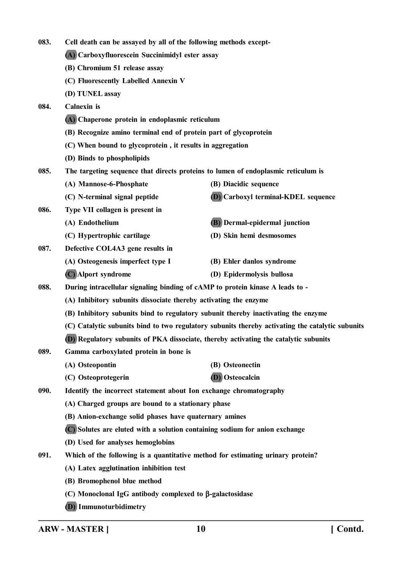| 083. | Cell death can be assayed by all of the following methods except-             |                                                                                                  |
|------|-------------------------------------------------------------------------------|--------------------------------------------------------------------------------------------------|
|      | (A) Carboxyfluorescein Succinimidyl ester assay                               |                                                                                                  |
|      | (B) Chromium 51 release assay                                                 |                                                                                                  |
|      | (C) Fluorescently Labelled Annexin V                                          |                                                                                                  |
|      | (D) TUNEL assay                                                               |                                                                                                  |
| 084. | <b>Calnexin</b> is                                                            |                                                                                                  |
|      | (A) Chaperone protein in endoplasmic reticulum                                |                                                                                                  |
|      | (B) Recognize amino terminal end of protein part of glycoprotein              |                                                                                                  |
|      | (C) When bound to glycoprotein, it results in aggregation                     |                                                                                                  |
|      | (D) Binds to phospholipids                                                    |                                                                                                  |
| 085. |                                                                               | The targeting sequence that directs proteins to lumen of endoplasmic reticulum is                |
|      | (A) Mannose-6-Phosphate                                                       | (B) Diacidic sequence                                                                            |
|      | (C) N-terminal signal peptide                                                 | <b>D</b> Carboxyl terminal-KDEL sequence                                                         |
| 086. | Type VII collagen is present in                                               |                                                                                                  |
|      | (A) Endothelium                                                               | (B) Dermal-epidermal junction                                                                    |
|      | (C) Hypertrophic cartilage                                                    | (D) Skin hemi desmosomes                                                                         |
| 087. | Defective COL4A3 gene results in                                              |                                                                                                  |
|      | (A) Osteogenesis imperfect type I                                             | (B) Ehler danlos syndrome                                                                        |
|      | (C) Alport syndrome                                                           | (D) Epidermolysis bullosa                                                                        |
| 088. | During intracellular signaling binding of cAMP to protein kinase A leads to - |                                                                                                  |
|      | (A) Inhibitory subunits dissociate thereby activating the enzyme              |                                                                                                  |
|      |                                                                               | (B) Inhibitory subunits bind to regulatory subunit thereby inactivating the enzyme               |
|      |                                                                               | (C) Catalytic subunits bind to two regulatory subunits thereby activating the catalytic subunits |
|      |                                                                               | (D) Regulatory subunits of PKA dissociate, thereby activating the catalytic subunits             |
| 089. | Gamma carboxylated protein in bone is                                         |                                                                                                  |
|      | (A) Osteopontin                                                               | (B) Osteonectin                                                                                  |
|      | (C) Osteoprotegerin                                                           | (D) Osteocalcin                                                                                  |
| 090. | Identify the incorrect statement about Ion exchange chromatography            |                                                                                                  |
|      | (A) Charged groups are bound to a stationary phase                            |                                                                                                  |
|      | (B) Anion-exchange solid phases have quaternary amines                        |                                                                                                  |
|      | (C) Solutes are eluted with a solution containing sodium for anion exchange   |                                                                                                  |
|      | (D) Used for analyses hemoglobins                                             |                                                                                                  |
| 091. |                                                                               | Which of the following is a quantitative method for estimating urinary protein?                  |
|      | (A) Latex agglutination inhibition test                                       |                                                                                                  |
|      | (B) Bromophenol blue method                                                   |                                                                                                  |
|      | (C) Monoclonal IgG antibody complexed to β-galactosidase                      |                                                                                                  |
|      | (D) Immunoturbidimetry                                                        |                                                                                                  |

**ARW - MASTER ] 10 [ Contd.**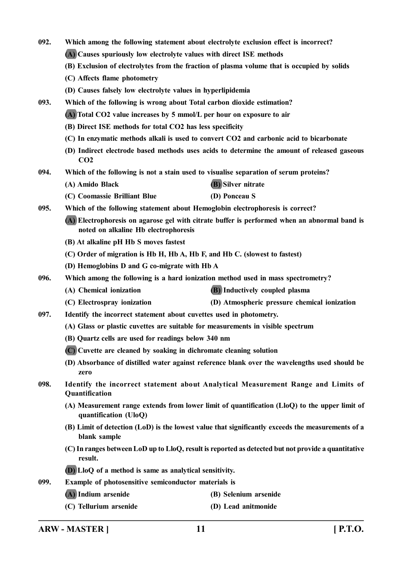- **092. Which among the following statement about electrolyte exclusion effect is incorrect?**
	- **(A) Causes spuriously low electrolyte values with direct ISE methods**
	- **(B) Exclusion of electrolytes from the fraction of plasma volume that is occupied by solids**
	- **(C) Affects flame photometry**
	- **(D) Causes falsely low electrolyte values in hyperlipidemia**
- **093. Which of the following is wrong about Total carbon dioxide estimation?**
	- **(A) Total CO2 value increases by 5 mmol/L per hour on exposure to air**
	- **(B) Direct ISE methods for total CO2 has less specificity**
	- **(C) In enzymatic methods alkali is used to convert CO2 and carbonic acid to bicarbonate**
	- **(D) Indirect electrode based methods uses acids to determine the amount of released gaseous CO2**
- **094. Which of the following is not a stain used to visualise separation of serum proteins?**
	- **(A) Amido Black (B) Silver nitrate**
	- **(C) Coomassie Brilliant Blue (D) Ponceau S**
- **095. Which of the following statement about Hemoglobin electrophoresis is correct?**
	- **(A) Electrophoresis on agarose gel with citrate buffer is performed when an abnormal band is noted on alkaline Hb electrophoresis**
	- **(B) At alkaline pH Hb S moves fastest**
	- **(C) Order of migration is Hb H, Hb A, Hb F, and Hb C. (slowest to fastest)**
	- **(D) Hemoglobins D and G co-migrate with Hb A**
- **096. Which among the following is a hard ionization method used in mass spectrometry?**
	- **(A) Chemical ionization (B) Inductively coupled plasma**
	- **(C) Electrospray ionization (D) Atmospheric pressure chemical ionization**
- **097. Identify the incorrect statement about cuvettes used in photometry.**
	- **(A) Glass or plastic cuvettes are suitable for measurements in visible spectrum**
	- **(B) Quartz cells are used for readings below 340 nm**
	- **(C) Cuvette are cleaned by soaking in dichromate cleaning solution**
	- **(D) Absorbance of distilled water against reference blank over the wavelengths used should be zero**
- **098. Identify the incorrect statement about Analytical Measurement Range and Limits of Quantification**
	- **(A) Measurement range extends from lower limit of quantification (LloQ) to the upper limit of quantification (UloQ)**
	- **(B) Limit of detection (LoD) is the lowest value that significantly exceeds the measurements of a blank sample**
	- **(C) In ranges between LoD up to LloQ, result is reported as detected but not provide a quantitative result.**
	- **(D) LloQ of a method is same as analytical sensitivity.**
- **099. Example of photosensitive semiconductor materials is**
	- **(A) Indium arsenide (B) Selenium arsenide**
		-
	- **(C) Tellurium arsenide (D) Lead anitmonide**

**ARW - MASTER ] 11 [ P.T.O.**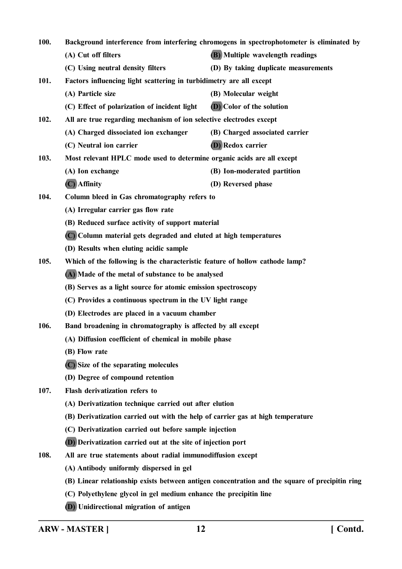| 100. | Background interference from interfering chromogens in spectrophotometer is eliminated by |                                                                                                |
|------|-------------------------------------------------------------------------------------------|------------------------------------------------------------------------------------------------|
|      | (A) Cut off filters                                                                       | (B) Multiple wavelength readings                                                               |
|      | (C) Using neutral density filters                                                         | (D) By taking duplicate measurements                                                           |
| 101. | Factors influencing light scattering in turbidimetry are all except                       |                                                                                                |
|      | (A) Particle size                                                                         | (B) Molecular weight                                                                           |
|      | (C) Effect of polarization of incident light                                              | (D) Color of the solution                                                                      |
| 102. | All are true regarding mechanism of ion selective electrodes except                       |                                                                                                |
|      | (A) Charged dissociated ion exchanger                                                     | (B) Charged associated carrier                                                                 |
|      | (C) Neutral ion carrier                                                                   | <b>(D)</b> Redox carrier                                                                       |
| 103. | Most relevant HPLC mode used to determine organic acids are all except                    |                                                                                                |
|      | (A) Ion exchange                                                                          | (B) Ion-moderated partition                                                                    |
|      | $(C)$ Affinity                                                                            | (D) Reversed phase                                                                             |
| 104. | Column bleed in Gas chromatography refers to                                              |                                                                                                |
|      | (A) Irregular carrier gas flow rate                                                       |                                                                                                |
|      | (B) Reduced surface activity of support material                                          |                                                                                                |
|      | (C) Column material gets degraded and eluted at high temperatures                         |                                                                                                |
|      | (D) Results when eluting acidic sample                                                    |                                                                                                |
| 105. | Which of the following is the characteristic feature of hollow cathode lamp?              |                                                                                                |
|      | (A) Made of the metal of substance to be analysed                                         |                                                                                                |
|      | (B) Serves as a light source for atomic emission spectroscopy                             |                                                                                                |
|      | (C) Provides a continuous spectrum in the UV light range                                  |                                                                                                |
|      | (D) Electrodes are placed in a vacuum chamber                                             |                                                                                                |
| 106. | Band broadening in chromatography is affected by all except                               |                                                                                                |
|      | (A) Diffusion coefficient of chemical in mobile phase                                     |                                                                                                |
|      | (B) Flow rate                                                                             |                                                                                                |
|      | (C) Size of the separating molecules                                                      |                                                                                                |
|      | (D) Degree of compound retention                                                          |                                                                                                |
| 107. | Flash derivatization refers to                                                            |                                                                                                |
|      | (A) Derivatization technique carried out after elution                                    |                                                                                                |
|      | (B) Derivatization carried out with the help of carrier gas at high temperature           |                                                                                                |
|      | (C) Derivatization carried out before sample injection                                    |                                                                                                |
|      | (D) Derivatization carried out at the site of injection port                              |                                                                                                |
| 108. | All are true statements about radial immunodiffusion except                               |                                                                                                |
|      | (A) Antibody uniformly dispersed in gel                                                   |                                                                                                |
|      |                                                                                           | (B) Linear relationship exists between antigen concentration and the square of precipitin ring |
|      | (C) Polyethylene glycol in gel medium enhance the precipitin line                         |                                                                                                |
|      | (D) Unidirectional migration of antigen                                                   |                                                                                                |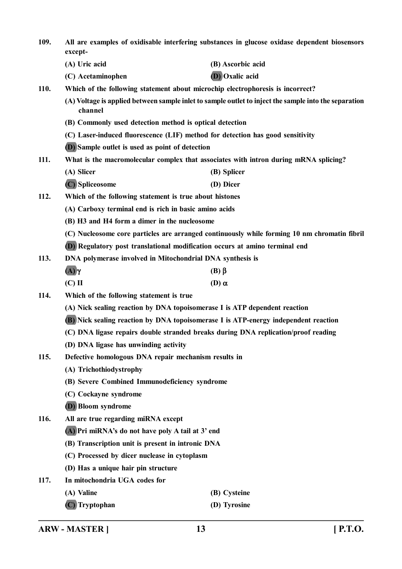**109. All are examples of oxidisable interfering substances in glucose oxidase dependent biosensors except- (A) Uric acid (B) Ascorbic acid (C) Acetaminophen (D) Oxalic acid 110. Which of the following statement about microchip electrophoresis is incorrect? (A) Voltage is applied between sample inlet to sample outlet to inject the sample into the separation channel (B) Commonly used detection method is optical detection (C) Laser-induced fluorescence (LIF) method for detection has good sensitivity (D) Sample outlet is used as point of detection 111. What is the macromolecular complex that associates with intron during mRNA splicing? (A) Slicer (B) Splicer (C) Spliceosome (D) Dicer 112. Which of the following statement is true about histones (A) Carboxy terminal end is rich in basic amino acids (B) H3 and H4 form a dimer in the nucleosome (C) Nucleosome core particles are arranged continuously while forming 10 nm chromatin fibril (D) Regulatory post translational modification occurs at amino terminal end 113. DNA polymerase involved in Mitochondrial DNA synthesis is**  $(A)\gamma$  **(B)**  $\beta$ **(C)** II **(D)**  $\alpha$ **114. Which of the following statement is true (A) Nick sealing reaction by DNA topoisomerase I is ATP dependent reaction (B) Nick sealing reaction by DNA topoisomerase I is ATP-energy independent reaction (C) DNA ligase repairs double stranded breaks during DNA replication/proof reading (D) DNA ligase has unwinding activity 115. Defective homologous DNA repair mechanism results in (A) Trichothiodystrophy (B) Severe Combined Immunodeficiency syndrome (C) Cockayne syndrome (D) Bloom syndrome 116. All are true regarding miRNA except (A) Pri miRNA's do not have poly A tail at 3' end (B) Transcription unit is present in intronic DNA (C) Processed by dicer nuclease in cytoplasm (D) Has a unique hair pin structure 117. In mitochondria UGA codes for (A) Valine (B) Cysteine (C) Tryptophan (D) Tyrosine**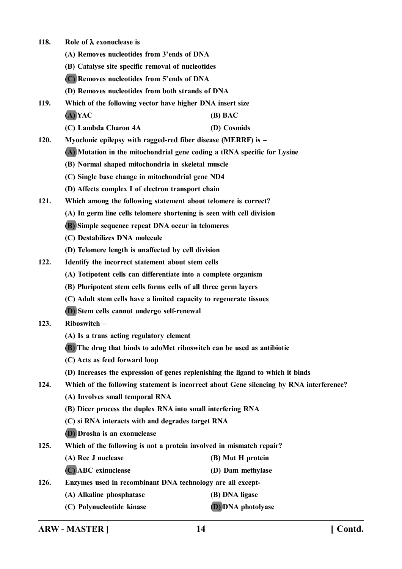- **118. Role of exonuclease is**
	- **(A) Removes nucleotides from 3'ends of DNA**
	- **(B) Catalyse site specific removal of nucleotides**
	- **(C) Removes nucleotides from 5'ends of DNA**
	- **(D) Removes nucleotides from both strands of DNA**

**119. Which of the following vector have higher DNA insert size (A) YAC (B) BAC**

- **(C) Lambda Charon 4A (D) Cosmids**
- **120. Myoclonic epilepsy with ragged-red fiber disease (MERRF) is –**
	- **(A) Mutation in the mitochondrial gene coding a tRNA specific for Lysine**
	- **(B) Normal shaped mitochondria in skeletal muscle**
	- **(C) Single base change in mitochondrial gene ND4**
	- **(D) Affects complex I of electron transport chain**
- **121. Which among the following statement about telomere is correct?**
	- **(A) In germ line cells telomere shortening is seen with cell division**
	- **(B) Simple sequence repeat DNA occur in telomeres**
	- **(C) Destabilizes DNA molecule**
	- **(D) Telomere length is unaffected by cell division**
- **122. Identify the incorrect statement about stem cells**
	- **(A) Totipotent cells can differentiate into a complete organism**
	- **(B) Pluripotent stem cells forms cells of all three germ layers**
	- **(C) Adult stem cells have a limited capacity to regenerate tissues**
	- **(D) Stem cells cannot undergo self-renewal**

## **123. Riboswitch –**

- **(A) Is a trans acting regulatory element**
- **(B) The drug that binds to adoMet riboswitch can be used as antibiotic**
- **(C) Acts as feed forward loop**
- **(D) Increases the expression of genes replenishing the ligand to which it binds**
- **124. Which of the following statement is incorrect about Gene silencing by RNA interference?**
	- **(A) Involves small temporal RNA**
	- **(B) Dicer process the duplex RNA into small interfering RNA**
	- **(C) si RNA interacts with and degrades target RNA**
	- **(D) Drosha is an exonuclease**
- **125. Which of the following is not a protein involved in mismatch repair?**
	- **(A) Rec J nuclease (B) Mut H protein**
		- **(C) ABC exinuclease (D) Dam methylase**
- **126. Enzymes used in recombinant DNA technology are all except-**
	- **(A) Alkaline phosphatase (B) DNA ligase**
	- **(C) Polynucleotide kinase (D) DNA photolyase**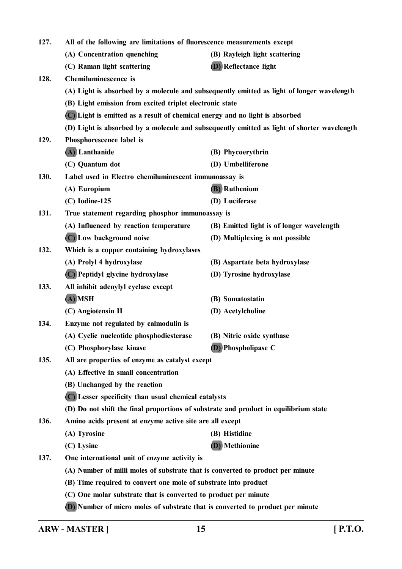| 127. | All of the following are limitations of fluorescence measurements except             |                                                                                             |
|------|--------------------------------------------------------------------------------------|---------------------------------------------------------------------------------------------|
|      | (A) Concentration quenching                                                          | (B) Rayleigh light scattering                                                               |
|      | (C) Raman light scattering                                                           | (D) Reflectance light                                                                       |
| 128. | <b>Chemiluminescence</b> is                                                          |                                                                                             |
|      |                                                                                      | (A) Light is absorbed by a molecule and subsequently emitted as light of longer wavelength  |
|      | (B) Light emission from excited triplet electronic state                             |                                                                                             |
|      | (C) Light is emitted as a result of chemical energy and no light is absorbed         |                                                                                             |
|      |                                                                                      | (D) Light is absorbed by a molecule and subsequently emitted as light of shorter wavelength |
| 129. | Phosphorescence label is                                                             |                                                                                             |
|      | (A) Lanthanide                                                                       | (B) Phycoerythrin                                                                           |
|      | (C) Quantum dot                                                                      | (D) Umbelliferone                                                                           |
| 130. | Label used in Electro chemiluminescent immunoassay is                                |                                                                                             |
|      | (A) Europium                                                                         | <b>(B)</b> Ruthenium                                                                        |
|      | $(C)$ Iodine-125                                                                     | (D) Luciferase                                                                              |
| 131. | True statement regarding phosphor immunoassay is                                     |                                                                                             |
|      | (A) Influenced by reaction temperature                                               | (B) Emitted light is of longer wavelength                                                   |
|      | (C) Low background noise                                                             | (D) Multiplexing is not possible                                                            |
| 132. | Which is a copper containing hydroxylases                                            |                                                                                             |
|      | (A) Prolyl 4 hydroxylase                                                             | (B) Aspartate beta hydroxylase                                                              |
|      | (C) Peptidyl glycine hydroxylase                                                     | (D) Tyrosine hydroxylase                                                                    |
| 133. | All inhibit adenylyl cyclase except                                                  |                                                                                             |
|      | (A) MSH                                                                              | (B) Somatostatin                                                                            |
|      | (C) Angiotensin II                                                                   | (D) Acetylcholine                                                                           |
| 134. | Enzyme not regulated by calmodulin is                                                |                                                                                             |
|      | (A) Cyclic nucleotide phosphodiesterase                                              | (B) Nitric oxide synthase                                                                   |
|      | (C) Phosphorylase kinase                                                             | (D) Phospholipase C                                                                         |
| 135. | All are properties of enzyme as catalyst except                                      |                                                                                             |
|      | (A) Effective in small concentration                                                 |                                                                                             |
|      | (B) Unchanged by the reaction                                                        |                                                                                             |
|      | (C) Lesser specificity than usual chemical catalysts                                 |                                                                                             |
|      | (D) Do not shift the final proportions of substrate and product in equilibrium state |                                                                                             |
| 136. | Amino acids present at enzyme active site are all except                             |                                                                                             |
|      | (A) Tyrosine                                                                         | (B) Histidine                                                                               |
|      | (C) Lysine                                                                           | (D) Methionine                                                                              |
| 137. | One international unit of enzyme activity is                                         |                                                                                             |
|      | (A) Number of milli moles of substrate that is converted to product per minute       |                                                                                             |
|      | (B) Time required to convert one mole of substrate into product                      |                                                                                             |
|      | (C) One molar substrate that is converted to product per minute                      |                                                                                             |
|      | (D) Number of micro moles of substrate that is converted to product per minute       |                                                                                             |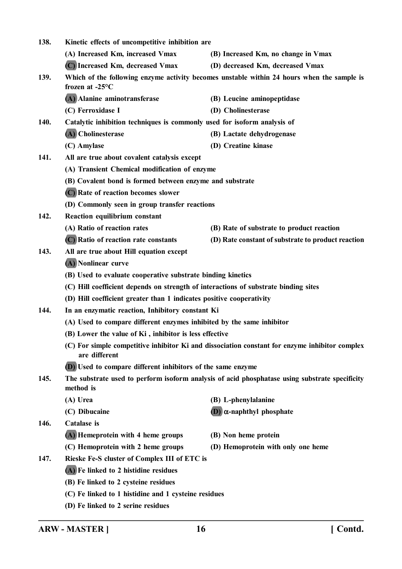| 138. | Kinetic effects of uncompetitive inhibition are                                     |                                                                                                |
|------|-------------------------------------------------------------------------------------|------------------------------------------------------------------------------------------------|
|      | (A) Increased Km, increased Vmax                                                    | (B) Increased Km, no change in Vmax                                                            |
|      | (C) Increased Km, decreased Vmax                                                    | (D) decreased Km, decreased Vmax                                                               |
| 139. | frozen at $-25^{\circ}$ C                                                           | Which of the following enzyme activity becomes unstable within 24 hours when the sample is     |
|      | (A) Alanine aminotransferase                                                        | (B) Leucine aminopeptidase                                                                     |
|      | (C) Ferroxidase I                                                                   | (D) Cholinesterase                                                                             |
| 140. | Catalytic inhibition techniques is commonly used for isoform analysis of            |                                                                                                |
|      | (A) Cholinesterase                                                                  | (B) Lactate dehydrogenase                                                                      |
|      | (C) Amylase                                                                         | (D) Creatine kinase                                                                            |
| 141. | All are true about covalent catalysis except                                        |                                                                                                |
|      | (A) Transient Chemical modification of enzyme                                       |                                                                                                |
|      | (B) Covalent bond is formed between enzyme and substrate                            |                                                                                                |
|      | (C) Rate of reaction becomes slower                                                 |                                                                                                |
|      | (D) Commonly seen in group transfer reactions                                       |                                                                                                |
| 142. | Reaction equilibrium constant                                                       |                                                                                                |
|      | (A) Ratio of reaction rates                                                         | (B) Rate of substrate to product reaction                                                      |
|      | (C) Ratio of reaction rate constants                                                | (D) Rate constant of substrate to product reaction                                             |
| 143. | All are true about Hill equation except                                             |                                                                                                |
|      | (A) Nonlinear curve                                                                 |                                                                                                |
|      | (B) Used to evaluate cooperative substrate binding kinetics                         |                                                                                                |
|      | (C) Hill coefficient depends on strength of interactions of substrate binding sites |                                                                                                |
|      | (D) Hill coefficient greater than 1 indicates positive cooperativity                |                                                                                                |
| 144. | In an enzymatic reaction, Inhibitory constant Ki                                    |                                                                                                |
|      | (A) Used to compare different enzymes inhibited by the same inhibitor               |                                                                                                |
|      | (B) Lower the value of Ki, inhibitor is less effective                              |                                                                                                |
|      | are different                                                                       | (C) For simple competitive inhibitor Ki and dissociation constant for enzyme inhibitor complex |
|      | (D) Used to compare different inhibitors of the same enzyme                         |                                                                                                |
| 145. | method is                                                                           | The substrate used to perform isoform analysis of acid phosphatase using substrate specificity |
|      | (A) Urea                                                                            | (B) L-phenylalanine                                                                            |
|      | (C) Dibucaine                                                                       | $(D)$ $\alpha$ -naphthyl phosphate                                                             |
| 146. | <b>Catalase</b> is                                                                  |                                                                                                |
|      | (A) Hemeprotein with 4 heme groups                                                  | (B) Non heme protein                                                                           |
|      | (C) Hemoprotein with 2 heme groups                                                  | (D) Hemoprotein with only one heme                                                             |
| 147. | Rieske Fe-S cluster of Complex III of ETC is                                        |                                                                                                |
|      | (A) Fe linked to 2 histidine residues                                               |                                                                                                |
|      | (B) Fe linked to 2 cysteine residues                                                |                                                                                                |
|      | (C) Fe linked to 1 histidine and 1 cysteine residues                                |                                                                                                |
|      | (D) Fe linked to 2 serine residues                                                  |                                                                                                |
|      |                                                                                     |                                                                                                |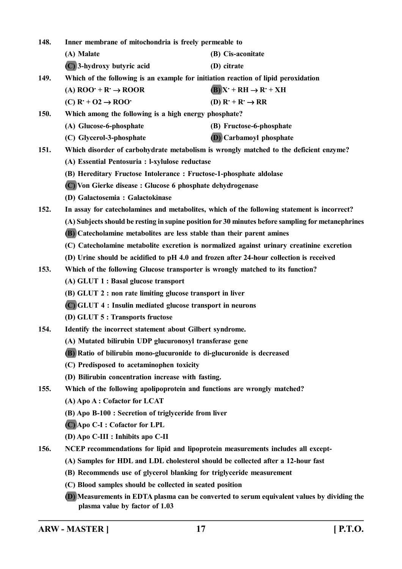| 148.        | Inner membrane of mitochondria is freely permeable to                                              |                                                                                             |  |
|-------------|----------------------------------------------------------------------------------------------------|---------------------------------------------------------------------------------------------|--|
|             | (A) Malate                                                                                         | (B) Cis-aconitate                                                                           |  |
|             | (C) 3-hydroxy butyric acid                                                                         | (D) citrate                                                                                 |  |
| 149.        | Which of the following is an example for initiation reaction of lipid peroxidation                 |                                                                                             |  |
|             | (A) $ROO^+ + R^+ \rightarrow ROOR$                                                                 | $(B)X^+RH \rightarrow R^+XH$                                                                |  |
|             | $(C)$ R <sup>+</sup> + O2 $\rightarrow$ ROO <sup>+</sup>                                           | (D) $R^+ + R^- \rightarrow RR$                                                              |  |
| <b>150.</b> | Which among the following is a high energy phosphate?                                              |                                                                                             |  |
|             | (A) Glucose-6-phosphate                                                                            | (B) Fructose-6-phosphate                                                                    |  |
|             | (C) Glycerol-3-phosphate                                                                           | (D) Carbamoyl phosphate                                                                     |  |
| 151.        |                                                                                                    | Which disorder of carbohydrate metabolism is wrongly matched to the deficient enzyme?       |  |
|             | (A) Essential Pentosuria : l-xylulose reductase                                                    |                                                                                             |  |
|             | (B) Hereditary Fructose Intolerance : Fructose-1-phosphate aldolase                                |                                                                                             |  |
|             | (C) Von Gierke disease : Glucose 6 phosphate dehydrogenase                                         |                                                                                             |  |
|             | (D) Galactosemia: Galactokinase                                                                    |                                                                                             |  |
| 152.        |                                                                                                    | In assay for catecholamines and metabolites, which of the following statement is incorrect? |  |
|             | (A) Subjects should be resting in supine position for 30 minutes before sampling for metanephrines |                                                                                             |  |
|             | (B) Catecholamine metabolites are less stable than their parent amines                             |                                                                                             |  |
|             |                                                                                                    | (C) Catecholamine metabolite excretion is normalized against urinary creatinine excretion   |  |
|             |                                                                                                    | (D) Urine should be acidified to pH 4.0 and frozen after 24-hour collection is received     |  |
| 153.        | Which of the following Glucose transporter is wrongly matched to its function?                     |                                                                                             |  |
|             | (A) GLUT 1 : Basal glucose transport                                                               |                                                                                             |  |
|             | (B) GLUT 2 : non rate limiting glucose transport in liver                                          |                                                                                             |  |
|             | (C) GLUT 4 : Insulin mediated glucose transport in neurons                                         |                                                                                             |  |
|             | (D) GLUT 5 : Transports fructose                                                                   |                                                                                             |  |
| 154.        | Identify the incorrect statement about Gilbert syndrome.                                           |                                                                                             |  |
|             | (A) Mutated bilirubin UDP glucuronosyl transferase gene                                            |                                                                                             |  |
|             | (B) Ratio of bilirubin mono-glucuronide to di-glucuronide is decreased                             |                                                                                             |  |
|             | (C) Predisposed to acetaminophen toxicity                                                          |                                                                                             |  |
|             | (D) Bilirubin concentration increase with fasting.                                                 |                                                                                             |  |
| 155.        | Which of the following apolipoprotein and functions are wrongly matched?                           |                                                                                             |  |
|             | (A) Apo A : Cofactor for LCAT                                                                      |                                                                                             |  |
|             | (B) Apo B-100 : Secretion of triglyceride from liver                                               |                                                                                             |  |
|             | (C) Apo C-I : Cofactor for LPL                                                                     |                                                                                             |  |
|             | (D) Apo C-III : Inhibits apo C-II                                                                  |                                                                                             |  |
| 156.        | NCEP recommendations for lipid and lipoprotein measurements includes all except-                   |                                                                                             |  |
|             | (A) Samples for HDL and LDL cholesterol should be collected after a 12-hour fast                   |                                                                                             |  |
|             | (B) Recommends use of glycerol blanking for triglyceride measurement                               |                                                                                             |  |
|             | (C) Blood samples should be collected in seated position                                           |                                                                                             |  |
|             | plasma value by factor of 1.03                                                                     | (D) Measurements in EDTA plasma can be converted to serum equivalent values by dividing the |  |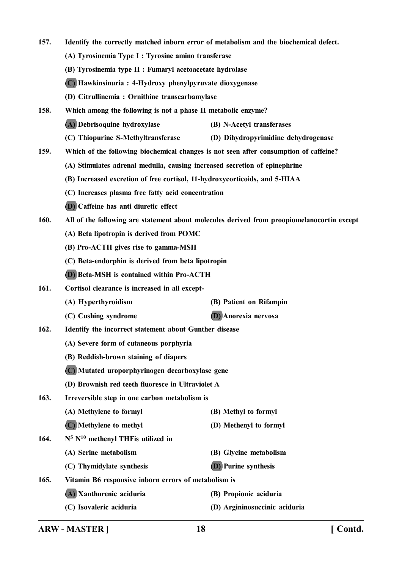**157. Identify the correctly matched inborn error of metabolism and the biochemical defect. (A) Tyrosinemia Type I : Tyrosine amino transferase (B) Tyrosinemia type II : Fumaryl acetoacetate hydrolase (C) Hawkinsinuria : 4-Hydroxy phenylpyruvate dioxygenase (D) Citrullinemia : Ornithine transcarbamylase 158. Which among the following is not a phase II metabolic enzyme? (A) Debrisoquine hydroxylase (B) N-Acetyl transferases (C) Thiopurine S-Methyltransferase (D) Dihydropyrimidine dehydrogenase 159. Which of the following biochemical changes is not seen after consumption of caffeine? (A) Stimulates adrenal medulla, causing increased secretion of epinephrine (B) Increased excretion of free cortisol, 11-hydroxycorticoids, and 5-HIAA (C) Increases plasma free fatty acid concentration (D) Caffeine has anti diuretic effect 160. All of the following are statement about molecules derived from proopiomelanocortin except (A) Beta lipotropin is derived from POMC (B) Pro-ACTH gives rise to gamma-MSH (C) Beta-endorphin is derived from beta lipotropin (D) Beta-MSH is contained within Pro-ACTH 161. Cortisol clearance is increased in all except- (A) Hyperthyroidism (B) Patient on Rifampin (C) Cushing syndrome (D) Anorexia nervosa 162. Identify the incorrect statement about Gunther disease (A) Severe form of cutaneous porphyria (B) Reddish-brown staining of diapers (C) Mutated uroporphyrinogen decarboxylase gene (D) Brownish red teeth fluoresce in Ultraviolet A 163. Irreversible step in one carbon metabolism is (A) Methylene to formyl (B) Methyl to formyl (C) Methylene to methyl (D) Methenyl to formyl 164. N<sup>10</sup> methenyl THFis utilized in (A) Serine metabolism (B) Glycine metabolism (C) Thymidylate synthesis (D) Purine synthesis 165. Vitamin B6 responsive inborn errors of metabolism is (A) Xanthurenic aciduria (B) Propionic aciduria (C) Isovaleric aciduria (D) Argininosuccinic aciduria**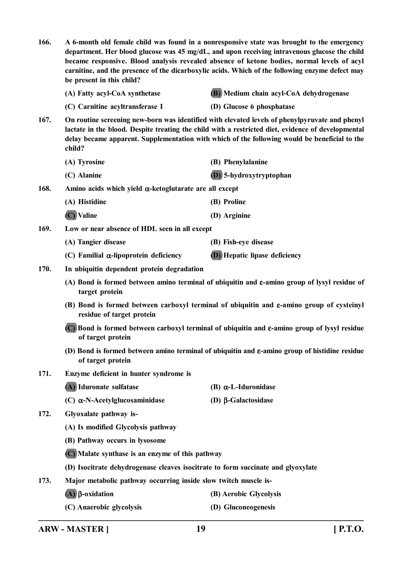| 166.                                                                                                                               | A 6-month old female child was found in a nonresponsive state was brought to the emergency<br>department. Her blood glucose was 45 mg/dL, and upon receiving intravenous glucose the child<br>became responsive. Blood analysis revealed absence of ketone bodies, normal levels of acyl<br>carnitine, and the presence of the dicarboxylic acids. Which of the following enzyme defect may<br>be present in this child? |                                                                                                            |
|------------------------------------------------------------------------------------------------------------------------------------|--------------------------------------------------------------------------------------------------------------------------------------------------------------------------------------------------------------------------------------------------------------------------------------------------------------------------------------------------------------------------------------------------------------------------|------------------------------------------------------------------------------------------------------------|
|                                                                                                                                    | (A) Fatty acyl-CoA synthetase                                                                                                                                                                                                                                                                                                                                                                                            | (B) Medium chain acyl-CoA dehydrogenase                                                                    |
|                                                                                                                                    | (C) Carnitine acyltransferase I                                                                                                                                                                                                                                                                                                                                                                                          | (D) Glucose 6 phosphatase                                                                                  |
| 167.                                                                                                                               | On routine screening new-born was identified with elevated levels of phenylpyruvate and phenyl<br>lactate in the blood. Despite treating the child with a restricted diet, evidence of developmental<br>delay became apparent. Supplementation with which of the following would be beneficial to the<br>child?                                                                                                          |                                                                                                            |
|                                                                                                                                    | (A) Tyrosine                                                                                                                                                                                                                                                                                                                                                                                                             | (B) Phenylalanine                                                                                          |
|                                                                                                                                    | (C) Alanine                                                                                                                                                                                                                                                                                                                                                                                                              | (D) 5-hydroxytryptophan                                                                                    |
| 168.                                                                                                                               | Amino acids which yield $\alpha$ -ketoglutarate are all except                                                                                                                                                                                                                                                                                                                                                           |                                                                                                            |
|                                                                                                                                    | (A) Histidine                                                                                                                                                                                                                                                                                                                                                                                                            | (B) Proline                                                                                                |
|                                                                                                                                    | (C) Valine                                                                                                                                                                                                                                                                                                                                                                                                               | (D) Arginine                                                                                               |
| 169.                                                                                                                               | Low or near absence of HDL seen in all except                                                                                                                                                                                                                                                                                                                                                                            |                                                                                                            |
|                                                                                                                                    | (A) Tangier disease                                                                                                                                                                                                                                                                                                                                                                                                      | (B) Fish-eye disease                                                                                       |
|                                                                                                                                    | (C) Familial $\alpha$ -lipoprotein deficiency                                                                                                                                                                                                                                                                                                                                                                            | <b>(D)</b> Hepatic lipase deficiency                                                                       |
| 170.                                                                                                                               | In ubiquitin dependent protein degradation                                                                                                                                                                                                                                                                                                                                                                               |                                                                                                            |
|                                                                                                                                    | target protein                                                                                                                                                                                                                                                                                                                                                                                                           | (A) Bond is formed between amino terminal of ubiquitin and $\varepsilon$ -amino group of lysyl residue of  |
| (B) Bond is formed between carboxyl terminal of ubiquitin and $\varepsilon$ -amino group of cysteinyl<br>residue of target protein |                                                                                                                                                                                                                                                                                                                                                                                                                          |                                                                                                            |
|                                                                                                                                    | (C) Bond is formed between carboxyl terminal of ubiquitin and ε-amino group of lysyl residue<br>of target protein                                                                                                                                                                                                                                                                                                        |                                                                                                            |
|                                                                                                                                    | of target protein                                                                                                                                                                                                                                                                                                                                                                                                        | (D) Bond is formed between amino terminal of ubiquitin and $\varepsilon$ -amino group of histidine residue |
| 171.                                                                                                                               | Enzyme deficient in hunter syndrome is                                                                                                                                                                                                                                                                                                                                                                                   |                                                                                                            |
|                                                                                                                                    | (A) Iduronate sulfatase                                                                                                                                                                                                                                                                                                                                                                                                  | $(B)$ $\alpha$ -L-Iduronidase                                                                              |
|                                                                                                                                    | (C) $\alpha$ -N-Acetylglucosaminidase                                                                                                                                                                                                                                                                                                                                                                                    | (D) $\beta$ -Galactosidase                                                                                 |
| 172.                                                                                                                               | Glyoxalate pathway is-                                                                                                                                                                                                                                                                                                                                                                                                   |                                                                                                            |
|                                                                                                                                    | (A) Is modified Glycolysis pathway                                                                                                                                                                                                                                                                                                                                                                                       |                                                                                                            |
|                                                                                                                                    | (B) Pathway occurs in lysosome                                                                                                                                                                                                                                                                                                                                                                                           |                                                                                                            |
|                                                                                                                                    | (C) Malate synthase is an enzyme of this pathway                                                                                                                                                                                                                                                                                                                                                                         |                                                                                                            |
|                                                                                                                                    | (D) Isocitrate dehydrogenase cleaves isocitrate to form succinate and glyoxylate                                                                                                                                                                                                                                                                                                                                         |                                                                                                            |
| 173.                                                                                                                               | Major metabolic pathway occurring inside slow twitch muscle is-                                                                                                                                                                                                                                                                                                                                                          |                                                                                                            |
|                                                                                                                                    | $(A)$ $\beta$ -oxidation                                                                                                                                                                                                                                                                                                                                                                                                 | (B) Aerobic Glycolysis                                                                                     |
|                                                                                                                                    | (C) Anaerobic glycolysis                                                                                                                                                                                                                                                                                                                                                                                                 | (D) Gluconeogenesis                                                                                        |

**ARW - MASTER ] 19 [ P.T.O.**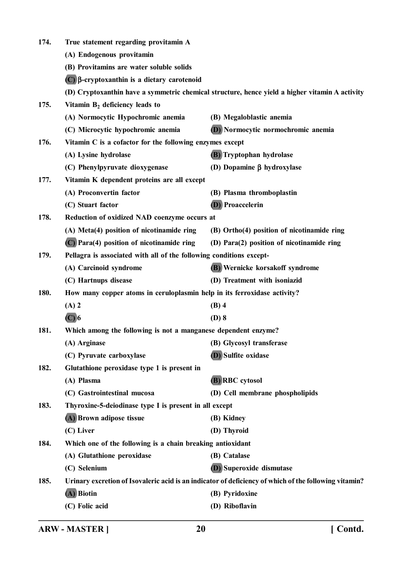| 174. | True statement regarding provitamin A                                                                 |                                            |
|------|-------------------------------------------------------------------------------------------------------|--------------------------------------------|
|      | (A) Endogenous provitamin                                                                             |                                            |
|      | (B) Provitamins are water soluble solids                                                              |                                            |
|      | $(C)$ $\beta$ -cryptoxanthin is a dietary carotenoid                                                  |                                            |
|      | (D) Cryptoxanthin have a symmetric chemical structure, hence yield a higher vitamin A activity        |                                            |
| 175. | Vitamin $B_2$ deficiency leads to                                                                     |                                            |
|      | (A) Normocytic Hypochromic anemia                                                                     | (B) Megaloblastic anemia                   |
|      | (C) Microcytic hypochromic anemia                                                                     | (D) Normocytic normochromic anemia         |
| 176. | Vitamin C is a cofactor for the following enzymes except                                              |                                            |
|      | (A) Lysine hydrolase                                                                                  | (B) Tryptophan hydrolase                   |
|      | (C) Phenylpyruvate dioxygenase                                                                        | (D) Dopamine $\beta$ hydroxylase           |
| 177. | Vitamin K dependent proteins are all except                                                           |                                            |
|      | (A) Proconvertin factor                                                                               | (B) Plasma thromboplastin                  |
|      | (C) Stuart factor                                                                                     | <b>(D)</b> Proaccelerin                    |
| 178. | Reduction of oxidized NAD coenzyme occurs at                                                          |                                            |
|      | (A) Meta(4) position of nicotinamide ring                                                             | (B) Ortho(4) position of nicotinamide ring |
|      | (C) Para(4) position of nicotinamide ring                                                             | (D) Para(2) position of nicotinamide ring  |
| 179. | Pellagra is associated with all of the following conditions except-                                   |                                            |
|      | (A) Carcinoid syndrome                                                                                | (B) Wernicke korsakoff syndrome            |
|      | (C) Hartnups disease                                                                                  | (D) Treatment with isoniazid               |
| 180. | How many copper atoms in ceruloplasmin help in its ferroxidase activity?                              |                                            |
|      | $(A)$ 2                                                                                               | $(B)$ 4                                    |
|      | $(C)$ 6                                                                                               | $(D)$ 8                                    |
| 181. | Which among the following is not a manganese dependent enzyme?                                        |                                            |
|      | (A) Arginase                                                                                          | (B) Glycosyl transferase                   |
|      | (C) Pyruvate carboxylase                                                                              | (D) Sulfite oxidase                        |
| 182. | Glutathione peroxidase type 1 is present in                                                           |                                            |
|      | (A) Plasma                                                                                            | (B) RBC cytosol                            |
|      | (C) Gastrointestinal mucosa                                                                           | (D) Cell membrane phospholipids            |
| 183. | Thyroxine-5-deiodinase type I is present in all except                                                |                                            |
|      | (A) Brown adipose tissue                                                                              | (B) Kidney                                 |
|      | (C) Liver                                                                                             | (D) Thyroid                                |
| 184. | Which one of the following is a chain breaking antioxidant                                            |                                            |
|      | (A) Glutathione peroxidase                                                                            | (B) Catalase                               |
|      | (C) Selenium                                                                                          | (D) Superoxide dismutase                   |
| 185. | Urinary excretion of Isovaleric acid is an indicator of deficiency of which of the following vitamin? |                                            |
|      | (A) Biotin                                                                                            | (B) Pyridoxine                             |
|      | (C) Folic acid                                                                                        | (D) Riboflavin                             |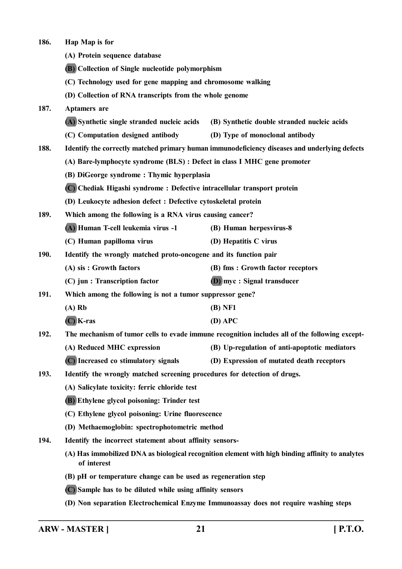**186. Hap Map is for (A) Protein sequence database (B) Collection of Single nucleotide polymorphism (C) Technology used for gene mapping and chromosome walking (D) Collection of RNA transcripts from the whole genome 187. Aptamers are (A) Synthetic single stranded nucleic acids (B) Synthetic double stranded nucleic acids (C) Computation designed antibody (D) Type of monoclonal antibody 188. Identify the correctly matched primary human immunodeficiency diseases and underlying defects (A) Bare-lymphocyte syndrome (BLS) : Defect in class I MHC gene promoter (B) DiGeorge syndrome : Thymic hyperplasia (C) Chediak Higashi syndrome : Defective intracellular transport protein (D) Leukocyte adhesion defect : Defective cytoskeletal protein 189. Which among the following is a RNA virus causing cancer? (A) Human T-cell leukemia virus -1 (B) Human herpesvirus-8 (C) Human papilloma virus (D) Hepatitis C virus 190. Identify the wrongly matched proto-oncogene and its function pair (A) sis : Growth factors (B) fms : Growth factor receptors (C) jun : Transcription factor (D) myc : Signal transducer 191. Which among the following is not a tumor suppressor gene? (A) Rb (B) NF1 (C) K-ras (D) APC 192. The mechanism of tumor cells to evade immune recognition includes all of the following except- (A) Reduced MHC expression (B) Up-regulation of anti-apoptotic mediators (C) Increased co stimulatory signals (D) Expression of mutated death receptors 193. Identify the wrongly matched screening procedures for detection of drugs. (A) Salicylate toxicity: ferric chloride test (B) Ethylene glycol poisoning: Trinder test (C) Ethylene glycol poisoning: Urine fluorescence (D) Methaemoglobin: spectrophotometric method 194. Identify the incorrect statement about affinity sensors- (A) Has immobilized DNA as biological recognition element with high binding affinity to analytes of interest (B) pH or temperature change can be used as regeneration step (C) Sample has to be diluted while using affinity sensors (D) Non separation Electrochemical Enzyme Immunoassay does not require washing steps**